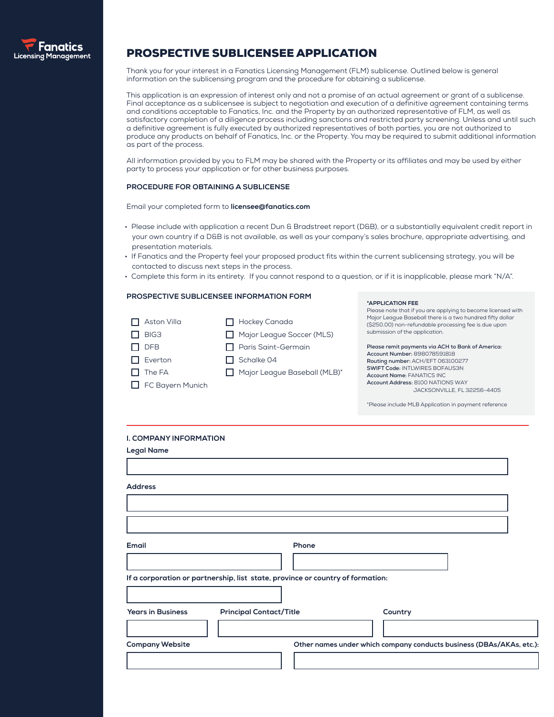

# PROSPECTIVE SUBLICENSEE APPLICATION

Thank you for your interest in a Fanatics Licensing Management (FLM) sublicense. Outlined below is general information on the sublicensing program and the procedure for obtaining a sublicense.

This application is an expression of interest only and not a promise of an actual agreement or grant of a sublicense. Final acceptance as a sublicensee is subject to negotiation and execution of a definitive agreement containing terms and conditions acceptable to Fanatics, Inc. and the Property by an authorized representative of FLM, as well as satisfactory completion of a diligence process including sanctions and restricted party screening. Unless and until such a definitive agreement is fully executed by authorized representatives of both parties, you are not authorized to produce any products on behalf of Fanatics, Inc. or the Property. You may be required to submit additional information as part of the process.

All information provided by you to FLM may be shared with the Property or its affiliates and may be used by either party to process your application or for other business purposes.

#### **PROCEDURE FOR OBTAINING A SUBLICENSE**

Email your completed form to **licensee@fanatics.com**

- Please include with application a recent Dun & Bradstreet report (D&B), or a substantially equivalent credit report in your own country if a D&B is not available, as well as your company's sales brochure, appropriate advertising, and presentation materials.
- If Fanatics and the Property feel your proposed product fits within the current sublicensing strategy, you will be contacted to discuss next steps in the process.
- Complete this form in its entirety. If you cannot respond to a question, or if it is inapplicable, please mark "N/A".

#### **PROSPECTIVE SUBLICENSEE INFORMATION FORM**

| $\Box$ Aston Villa      | $\Box$ Hockey Canada         |
|-------------------------|------------------------------|
| BIG3                    | Major League Soccer (MLS)    |
| $\Box$ DFB              | Paris Saint-Germain          |
| $\prod$ Everton         | $\Box$ Schalke 04            |
| $\Pi$ The FA            | Major League Baseball (MLB)* |
| $\Box$ FC Bayern Munich |                              |

#### **\*APPLICATION FEE**

Please note that if you are applying to become licensed with Major League Baseball there is a two hundred fifty dollar (\$250.00) non-refundable processing fee is due upon submission of the application.

**Please remit payments via ACH to Bank of America: Account Number:** 898078591818 **Routing number:** ACH/EFT 063100277 **SWIFT Code:** INTLWIRES BOFAUS3N **Account Name:** FANATICS INC **Account Address:** 8100 NATIONS WAY JACKSONVILLE, FL 32256-4405

\*Please include MLB Application in payment reference

#### **I. COMPANY INFORMATION**

| <b>Legal Name</b>        |                                                                                |                                                                      |  |
|--------------------------|--------------------------------------------------------------------------------|----------------------------------------------------------------------|--|
| <b>Address</b>           |                                                                                |                                                                      |  |
|                          |                                                                                |                                                                      |  |
| Email                    | Phone                                                                          |                                                                      |  |
|                          | If a corporation or partnership, list state, province or country of formation: |                                                                      |  |
|                          |                                                                                |                                                                      |  |
| <b>Years in Business</b> | <b>Principal Contact/Title</b>                                                 | Country                                                              |  |
| <b>Company Website</b>   |                                                                                | Other names under which company conducts business (DBAs/AKAs, etc.): |  |
|                          |                                                                                |                                                                      |  |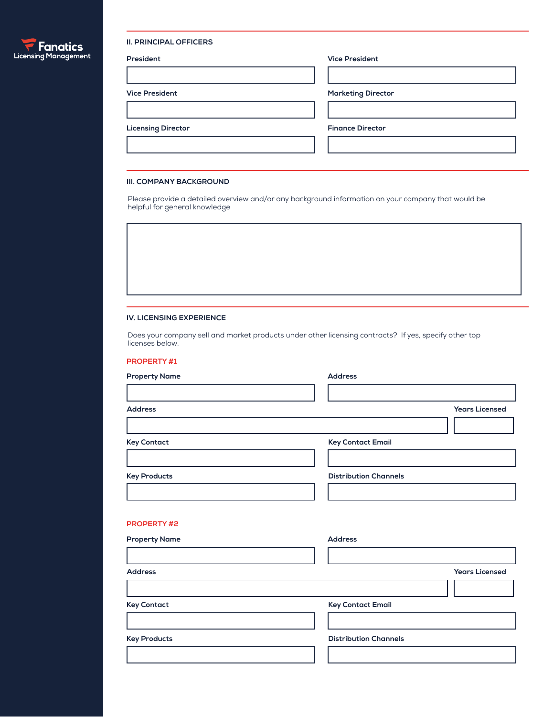

#### **II. PRINCIPAL OFFICERS**

| President                 | <b>Vice President</b>     |
|---------------------------|---------------------------|
|                           |                           |
| <b>Vice President</b>     | <b>Marketing Director</b> |
|                           |                           |
| <b>Licensing Director</b> | <b>Finance Director</b>   |
|                           |                           |
|                           |                           |

#### **III. COMPANY BACKGROUND**

Please provide a detailed overview and/or any background information on your company that would be helpful for general knowledge

#### **IV. LICENSING EXPERIENCE**

Does your company sell and market products under other licensing contracts? If yes, specify other top licenses below.

#### **PROPERTY #1**

| <b>Property Name</b> | <b>Address</b>               |
|----------------------|------------------------------|
|                      |                              |
| <b>Address</b>       | <b>Years Licensed</b>        |
|                      |                              |
| <b>Key Contact</b>   | <b>Key Contact Email</b>     |
|                      |                              |
| <b>Key Products</b>  | <b>Distribution Channels</b> |
|                      |                              |
|                      |                              |
| <b>PROPERTY#2</b>    |                              |
| <b>Property Name</b> | <b>Address</b>               |
|                      |                              |
| <b>Address</b>       | <b>Years Licensed</b>        |
|                      |                              |
| <b>Key Contact</b>   | <b>Key Contact Email</b>     |
|                      |                              |
| <b>Key Products</b>  | <b>Distribution Channels</b> |
|                      |                              |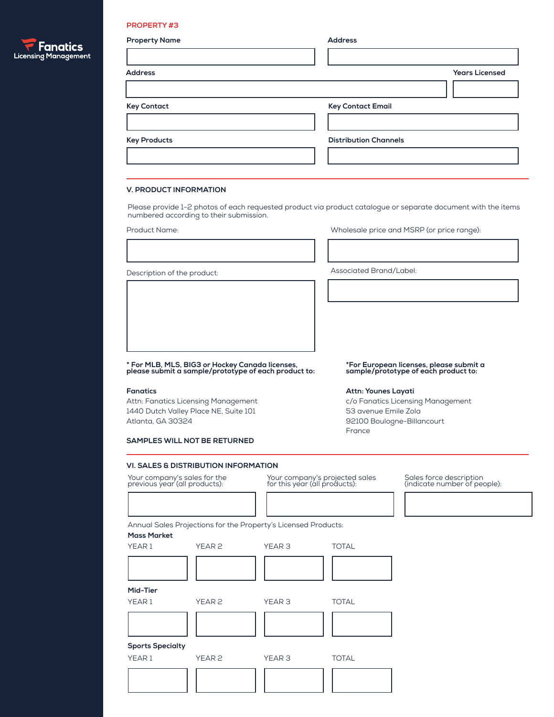## **PROPERTY #3**

| <b>Property Name</b>   | <b>Address</b>               |
|------------------------|------------------------------|
|                        |                              |
| <b>Address</b>         | <b>Years Licensed</b>        |
|                        |                              |
| <b>Key Contact</b>     | <b>Key Contact Email</b>     |
|                        |                              |
| <b>Key Products</b>    | <b>Distribution Channels</b> |
|                        |                              |
|                        |                              |
| V. PRODUCT INFORMATION |                              |

Please provide 1-2 photos of each requested product via product catalogue or separate document with the items numbered according to their submission.

Product Name: Wholesale price and MSRP (or price range):

Description of the product:  $\blacksquare$ 

**\* For MLB, MLS, BIG3 or Hockey Canada licenses, please submit a sample/prototype of each product to:**

1440 Dutch Valley Place NE, Suite 101 Atlanta, GA 30324

**\*For European licenses, please submit a sample/prototype of each product to:**

#### **Fanatics**

Attn: Fanatics Licensing Management

| Attn: Younes Layati               |
|-----------------------------------|
| c/o Fanatics Licensing Management |
| 53 avenue Emile Zola              |
| 92100 Boulogne-Billancourt        |
| Erance                            |

**SAMPLES WILL NOT BE RETURNED**

### **VI. SALES & DISTRIBUTION INFORMATION**

Your company's sales for the previous year (all products):

Your company's projected sales for this year (all products): Sales force description

Sales force description<br>(indicate number of people):

Annual Sales Projections for the Property's Licensed Products:

## **Mass Market**

| YEAR 1                  | YEAR <sub>2</sub> | YEAR 3            | <b>TOTAL</b> |  |  |
|-------------------------|-------------------|-------------------|--------------|--|--|
|                         |                   |                   |              |  |  |
|                         |                   |                   |              |  |  |
| Mid-Tier                |                   |                   |              |  |  |
| YEAR1                   | YEAR <sub>2</sub> | YEAR <sub>3</sub> | <b>TOTAL</b> |  |  |
|                         |                   |                   |              |  |  |
|                         |                   |                   |              |  |  |
| <b>Sports Specialty</b> |                   |                   |              |  |  |
| YEAR1                   | YEAR <sub>2</sub> | YEAR <sub>3</sub> | <b>TOTAL</b> |  |  |
|                         |                   |                   |              |  |  |
|                         |                   |                   |              |  |  |

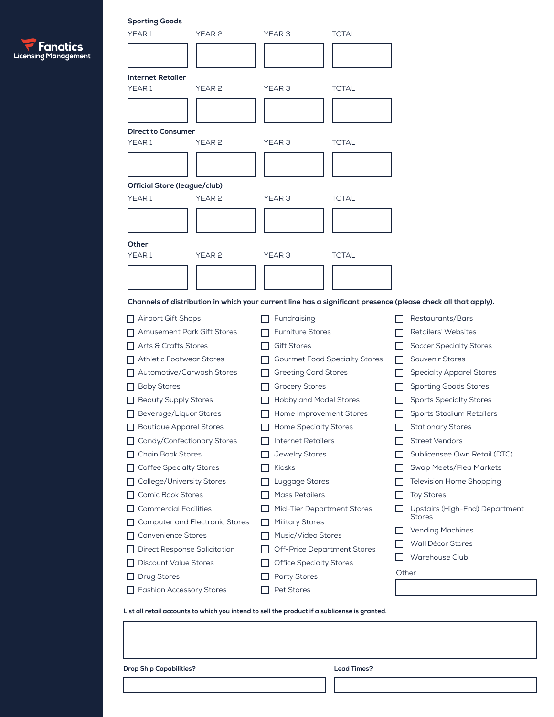|                             | $\blacksquare$ Fanatics |  |  |
|-----------------------------|-------------------------|--|--|
| <b>Licensing Management</b> |                         |  |  |

| <b>Sporting Goods</b>                                                                                         |                                        |              |                                                 |
|---------------------------------------------------------------------------------------------------------------|----------------------------------------|--------------|-------------------------------------------------|
| YEAR 1<br>YEAR <sub>2</sub>                                                                                   | YEAR 3                                 | <b>TOTAL</b> |                                                 |
|                                                                                                               |                                        |              |                                                 |
|                                                                                                               |                                        |              |                                                 |
| <b>Internet Retailer</b>                                                                                      |                                        |              |                                                 |
| YEAR1<br>YEAR <sub>2</sub>                                                                                    | YEAR <sub>3</sub>                      | <b>TOTAL</b> |                                                 |
|                                                                                                               |                                        |              |                                                 |
|                                                                                                               |                                        |              |                                                 |
| <b>Direct to Consumer</b>                                                                                     |                                        |              |                                                 |
| YEAR 1<br>YEAR <sub>2</sub>                                                                                   | YEAR <sub>3</sub>                      | <b>TOTAL</b> |                                                 |
|                                                                                                               |                                        |              |                                                 |
|                                                                                                               |                                        |              |                                                 |
| <b>Official Store (league/club)</b>                                                                           |                                        |              |                                                 |
| YEAR1<br>YEAR <sub>2</sub>                                                                                    | YEAR <sub>3</sub>                      | <b>TOTAL</b> |                                                 |
|                                                                                                               |                                        |              |                                                 |
|                                                                                                               |                                        |              |                                                 |
| Other                                                                                                         |                                        |              |                                                 |
| YEAR <sub>1</sub><br>YEAR <sub>2</sub>                                                                        | YEAR <sub>3</sub>                      | <b>TOTAL</b> |                                                 |
|                                                                                                               |                                        |              |                                                 |
|                                                                                                               |                                        |              |                                                 |
| Channels of distribution in which your current line has a significant presence (please check all that apply). |                                        |              |                                                 |
| <b>Airport Gift Shops</b>                                                                                     | Fundraising                            |              | Restaurants/Bars                                |
| <b>Amusement Park Gift Stores</b>                                                                             | <b>Furniture Stores</b>                |              | Retailers' Websites                             |
| Arts & Crafts Stores                                                                                          | <b>Gift Stores</b><br>. .              |              | <b>Soccer Specialty Stores</b>                  |
| <b>Athletic Footwear Stores</b>                                                                               | <b>Gourmet Food Specialty Stores</b>   | $\mathbf{L}$ | Souvenir Stores                                 |
| Automotive/Carwash Stores                                                                                     | <b>Greeting Card Stores</b><br>LΙ      | ΙI           | <b>Specialty Apparel Stores</b>                 |
| <b>Baby Stores</b>                                                                                            | <b>Grocery Stores</b>                  | I I          | <b>Sporting Goods Stores</b>                    |
| <b>Beauty Supply Stores</b>                                                                                   | Hobby and Model Stores                 |              | <b>Sports Specialty Stores</b>                  |
| Beverage/Liquor Stores                                                                                        | Home Improvement Stores                | H            | Sports Stadium Retailers                        |
| <b>Boutique Apparel Stores</b>                                                                                | <b>Home Specialty Stores</b>           |              | <b>Stationary Stores</b>                        |
| Candy/Confectionary Stores                                                                                    | <b>Internet Retailers</b>              |              | <b>Street Vendors</b>                           |
| Chain Book Stores                                                                                             | Jewelry Stores                         |              | Sublicensee Own Retail (DTC)                    |
| <b>Coffee Specialty Stores</b>                                                                                | Kiosks                                 |              | Swap Meets/Flea Markets                         |
| College/University Stores                                                                                     | Luggage Stores                         |              | Television Home Shopping                        |
| Comic Book Stores                                                                                             | Mass Retailers                         |              | <b>Toy Stores</b>                               |
| <b>Commercial Facilities</b>                                                                                  | Mid-Tier Department Stores             |              | Upstairs (High-End) Department<br><b>Stores</b> |
| <b>Computer and Electronic Stores</b>                                                                         | <b>Military Stores</b><br>$\mathbf{I}$ |              |                                                 |
|                                                                                                               |                                        |              | <b>Vending Machines</b>                         |
| Convenience Stores                                                                                            | Music/Video Stores                     |              | Wall Décor Stores                               |
| <b>Direct Response Solicitation</b>                                                                           | <b>Off-Price Department Stores</b>     | l 1          | Warehouse Club                                  |
| <b>Discount Value Stores</b>                                                                                  | <b>Office Specialty Stores</b>         |              | Other                                           |
| Drug Stores<br><b>Fashion Accessory Stores</b>                                                                | <b>Party Stores</b><br>Pet Stores      |              |                                                 |

**List all retail accounts to which you intend to sell the product if a sublicense is granted.**

**Drop Ship Capabilities? Lead Times?**